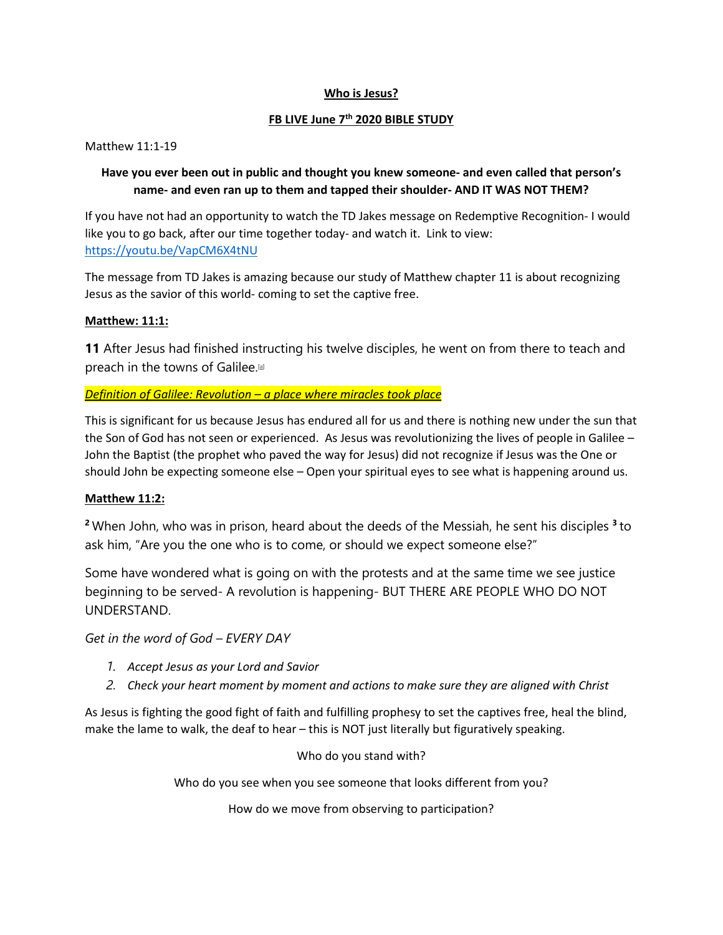#### **Who is Jesus?**

#### **FB LIVE June 7th 2020 BIBLE STUDY**

Matthew 11:1-19

#### **Have you ever been out in public and thought you knew someone- and even called that person's name- and even ran up to them and tapped their shoulder- AND IT WAS NOT THEM?**

If you have not had an opportunity to watch the TD Jakes message on Redemptive Recognition- I would like you to go back, after our time together today- and watch it. Link to view: <https://youtu.be/VapCM6X4tNU>

The message from TD Jakes is amazing because our study of Matthew chapter 11 is about recognizing Jesus as the savior of this world- coming to set the captive free.

#### **Matthew: 11:1:**

**11** After Jesus had finished instructing his twelve disciples, he went on from there to teach and preach in the towns of Galilee[.\[a\]](https://www.biblegateway.com/passage/?search=Matthew+11%3A1-11&version=NIV#fen-NIV-23461a)

#### *Definition of Galilee: Revolution – a place where miracles took place*

This is significant for us because Jesus has endured all for us and there is nothing new under the sun that the Son of God has not seen or experienced. As Jesus was revolutionizing the lives of people in Galilee – John the Baptist (the prophet who paved the way for Jesus) did not recognize if Jesus was the One or should John be expecting someone else – Open your spiritual eyes to see what is happening around us.

#### **Matthew 11:2:**

**<sup>2</sup>** When John, who was in prison, heard about the deeds of the Messiah, he sent his disciples **<sup>3</sup>** to ask him, "Are you the one who is to come, or should we expect someone else?"

Some have wondered what is going on with the protests and at the same time we see justice beginning to be served- A revolution is happening- BUT THERE ARE PEOPLE WHO DO NOT UNDERSTAND.

*Get in the word of God – EVERY DAY*

- *1. Accept Jesus as your Lord and Savior*
- *2. Check your heart moment by moment and actions to make sure they are aligned with Christ*

As Jesus is fighting the good fight of faith and fulfilling prophesy to set the captives free, heal the blind, make the lame to walk, the deaf to hear – this is NOT just literally but figuratively speaking.

Who do you stand with?

Who do you see when you see someone that looks different from you?

How do we move from observing to participation?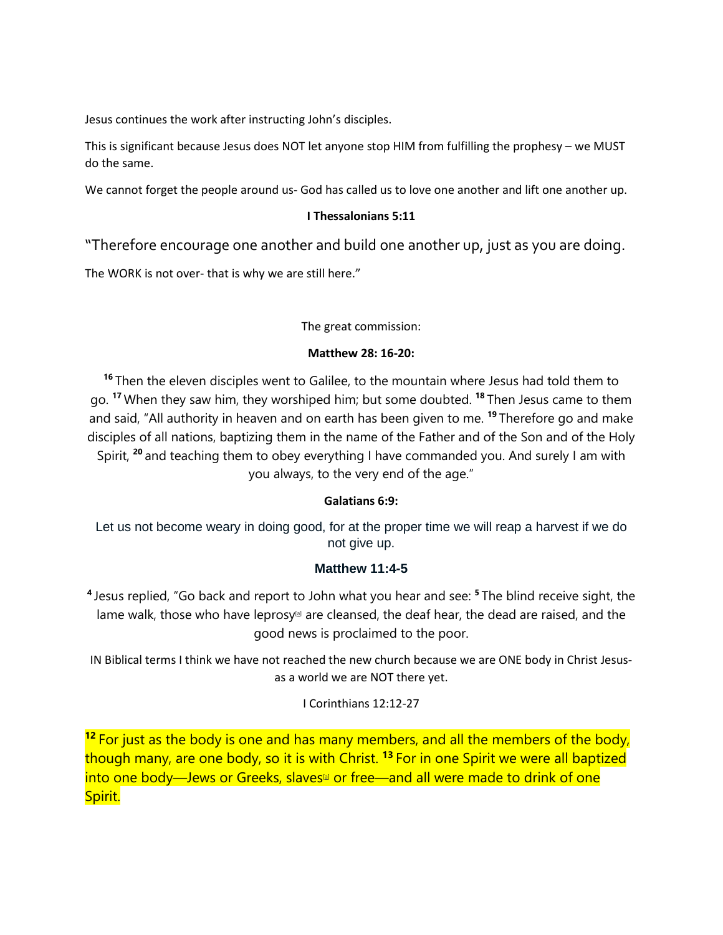Jesus continues the work after instructing John's disciples.

This is significant because Jesus does NOT let anyone stop HIM from fulfilling the prophesy – we MUST do the same.

We cannot forget the people around us- God has called us to love one another and lift one another up.

#### **I Thessalonians 5:11**

"Therefore encourage one another and build one another up, just as you are doing.

The WORK is not over- that is why we are still here."

#### The great commission:

#### **Matthew 28: 16-20:**

**<sup>16</sup>** Then the eleven disciples went to Galilee, to the mountain where Jesus had told them to go. **<sup>17</sup>** When they saw him, they worshiped him; but some doubted. **<sup>18</sup>** Then Jesus came to them and said, "All authority in heaven and on earth has been given to me. **<sup>19</sup>** Therefore go and make disciples of all nations, baptizing them in the name of the Father and of the Son and of the Holy Spirit, **<sup>20</sup>** and teaching them to obey everything I have commanded you. And surely I am with you always, to the very end of the age."

#### **Galatians 6:9:**

Let us not become weary in doing good, for at the proper time we will reap a harvest if we do not give up.

#### **Matthew 11:4-5**

**<sup>4</sup>** Jesus replied, "Go back and report to John what you hear and see: **<sup>5</sup>** The blind receive sight, the lame walk, those who have leprosy<sup>[a]</sup> are cleansed, the deaf hear, the dead are raised, and the good news is proclaimed to the poor.

IN Biblical terms I think we have not reached the new church because we are ONE body in Christ Jesusas a world we are NOT there yet.

#### I Corinthians 12:12-27

<sup>12</sup> For just as the body is one and has many members, and all the members of the body, though many, are one body, so it is with Christ. **<sup>13</sup>** For in one Spirit we were all baptized into one body—Jews or Greeks, slaves<sup>[a]</sup> or free—and all were made to drink of one Spirit.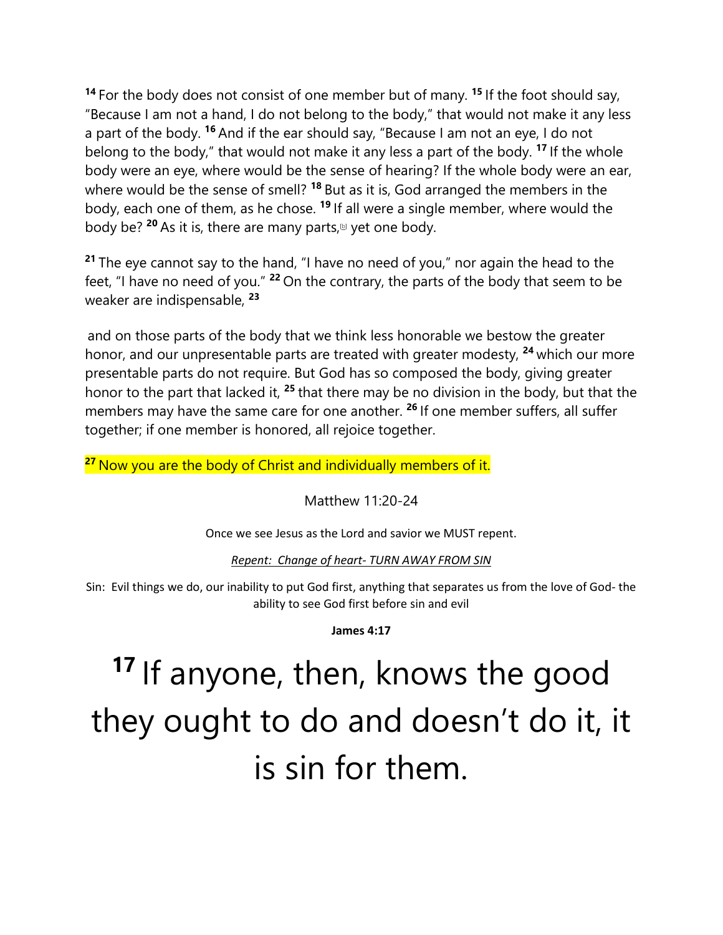**<sup>14</sup>** For the body does not consist of one member but of many. **<sup>15</sup>** If the foot should say, "Because I am not a hand, I do not belong to the body," that would not make it any less a part of the body. **<sup>16</sup>** And if the ear should say, "Because I am not an eye, I do not belong to the body," that would not make it any less a part of the body. **<sup>17</sup>** If the whole body were an eye, where would be the sense of hearing? If the whole body were an ear, where would be the sense of smell? **<sup>18</sup>** But as it is, God arranged the members in the body, each one of them, as he chose. **<sup>19</sup>** If all were a single member, where would the body be? <sup>20</sup> As it is, there are many parts,<sup>[b]</sup> yet one body.

**<sup>21</sup>** The eye cannot say to the hand, "I have no need of you," nor again the head to the feet, "I have no need of you." **<sup>22</sup>** On the contrary, the parts of the body that seem to be weaker are indispensable, **<sup>23</sup>**

and on those parts of the body that we think less honorable we bestow the greater honor, and our unpresentable parts are treated with greater modesty, **<sup>24</sup>** which our more presentable parts do not require. But God has so composed the body, giving greater honor to the part that lacked it, **<sup>25</sup>** that there may be no division in the body, but that the members may have the same care for one another. **<sup>26</sup>** If one member suffers, all suffer together; if one member is honored, all rejoice together.

<sup>27</sup> Now you are the body of Christ and individually members of it.

Matthew 11:20-24

Once we see Jesus as the Lord and savior we MUST repent.

*Repent: Change of heart- TURN AWAY FROM SIN*

Sin: Evil things we do, our inability to put God first, anything that separates us from the love of God- the ability to see God first before sin and evil

**James 4:17**

# **<sup>17</sup>** If anyone, then, knows the good they ought to do and doesn't do it, it is sin for them.